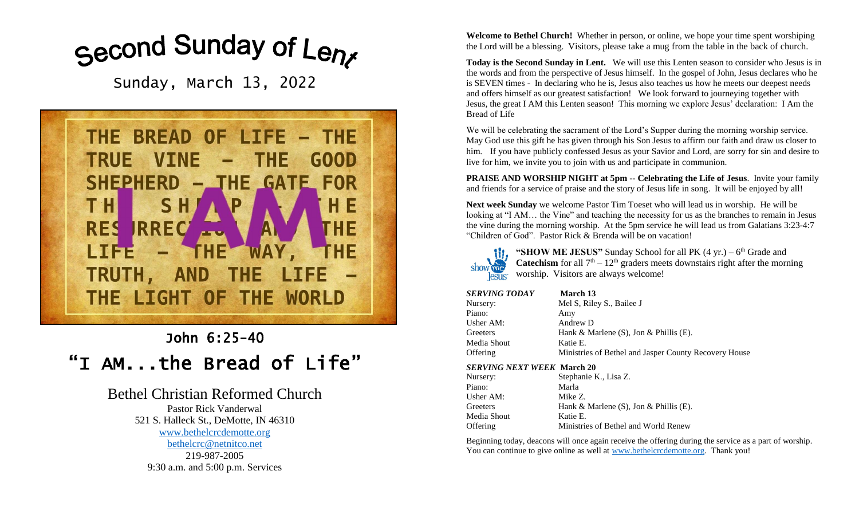# Second Sunday of Lenx

Sunday, March 13, 2022



## John 6:25-40 "I AM...the Bread of Life"

### Bethel Christian Reformed Church

Pastor Rick Vanderwal 521 S. Halleck St., DeMotte, IN 46310 [www.bethelcrcdemotte.org](http://www.bethelcrcdemotte.org/) [bethelcrc@netnitco.net](mailto:bethelcrc@netnitco.net) 219-987-2005 9:30 a.m. and 5:00 p.m. Services

**Welcome to Bethel Church!** Whether in person, or online, we hope your time spent worshiping the Lord will be a blessing. Visitors, please take a mug from the table in the back of church.

**Today is the Second Sunday in Lent.** We will use this Lenten season to consider who Jesus is in the words and from the perspective of Jesus himself. In the gospel of John, Jesus declares who he is SEVEN times - In declaring who he is, Jesus also teaches us how he meets our deepest needs and offers himself as our greatest satisfaction! We look forward to journeying together with Jesus, the great I AM this Lenten season! This morning we explore Jesus' declaration: I Am the Bread of Life

We will be celebrating the sacrament of the Lord's Supper during the morning worship service. May God use this gift he has given through his Son Jesus to affirm our faith and draw us closer to him. If you have publicly confessed Jesus as your Savior and Lord, are sorry for sin and desire to live for him, we invite you to join with us and participate in communion.

**PRAISE AND WORSHIP NIGHT at 5pm -- Celebrating the Life of Jesus**. Invite your family and friends for a service of praise and the story of Jesus life in song. It will be enjoyed by all!

**Next week Sunday** we welcome Pastor Tim Toeset who will lead us in worship. He will be looking at "I AM… the Vine" and teaching the necessity for us as the branches to remain in Jesus the vine during the morning worship. At the 5pm service he will lead us from Galatians 3:23-4:7 "Children of God". Pastor Rick & Brenda will be on vacation!



"SHOW ME JESUS" Sunday School for all PK (4 yr.) – 6<sup>th</sup> Grade and **Catechism** for all  $7<sup>th</sup> - 12<sup>th</sup>$  graders meets downstairs right after the morning lesus worship. Visitors are always welcome!

| SERVING TODAY | March 13                                              |
|---------------|-------------------------------------------------------|
| Nursery:      | Mel S, Riley S., Bailee J                             |
| Piano:        | Amy                                                   |
| Usher AM:     | Andrew D                                              |
| Greeters      | Hank & Marlene $(S)$ , Jon & Phillis $(E)$ .          |
| Media Shout   | Katie E.                                              |
| Offering      | Ministries of Bethel and Jasper County Recovery House |

#### *SERVING NEXT WEEK* **March 20**

| Nursery:    | Stephanie K., Lisa Z.                        |
|-------------|----------------------------------------------|
| Piano:      | Marla                                        |
| Usher AM:   | Mike Z.                                      |
| Greeters    | Hank & Marlene $(S)$ , Jon & Phillis $(E)$ . |
| Media Shout | Katie E.                                     |
| Offering    | Ministries of Bethel and World Renew         |
|             |                                              |

Beginning today, deacons will once again receive the offering during the service as a part of worship. You can continue to give online as well at [www.bethelcrcdemotte.org.](http://www.bethelcrcdemotte.org/) Thank you!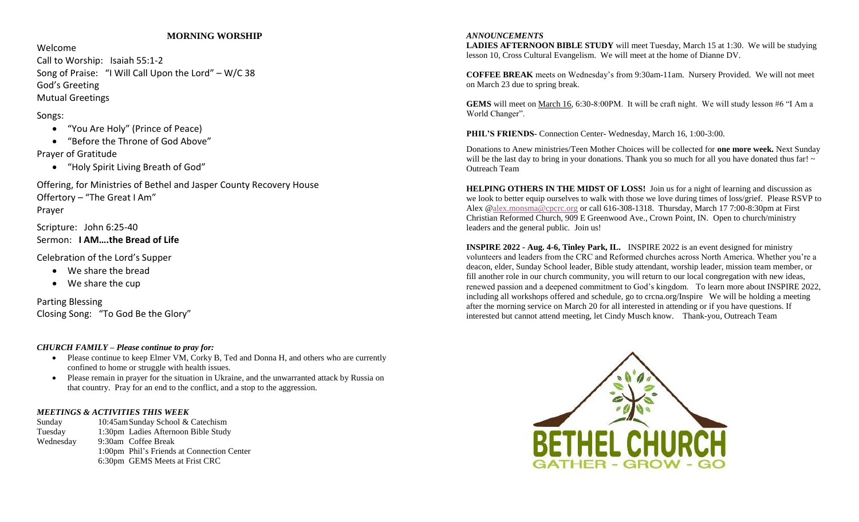#### **MORNING WORSHIP**

Welcome

Call to Worship: Isaiah 55:1-2 Song of Praise: "I Will Call Upon the Lord" – W/C 38 God's Greeting Mutual Greetings

Songs:

- "You Are Holy" (Prince of Peace)
- "Before the Throne of God Above" Prayer of Gratitude
	- "Holy Spirit Living Breath of God"

Offering, for Ministries of Bethel and Jasper County Recovery House Offertory – "The Great I Am" Prayer

Scripture: John 6:25-40 Sermon: **I AM….the Bread of Life**

Celebration of the Lord's Supper

- We share the bread
- We share the cup

Parting Blessing Closing Song: "To God Be the Glory"

#### *CHURCH FAMILY – Please continue to pray for:*

- Please continue to keep Elmer VM, Corky B, Ted and Donna H, and others who are currently confined to home or struggle with health issues.
- Please remain in prayer for the situation in Ukraine, and the unwarranted attack by Russia on that country. Pray for an end to the conflict, and a stop to the aggression.

#### *MEETINGS & ACTIVITIES THIS WEEK*

Sunday 10:45amSunday School & Catechism Tuesday 1:30pm Ladies Afternoon Bible Study Wednesday 9:30am Coffee Break 1:00pm Phil's Friends at Connection Center 6:30pm GEMS Meets at Frist CRC

#### *ANNOUNCEMENTS*

**LADIES AFTERNOON BIBLE STUDY** will meet Tuesday, March 15 at 1:30. We will be studying lesson 10, Cross Cultural Evangelism. We will meet at the home of Dianne DV.

**COFFEE BREAK** meets on Wednesday's from 9:30am-11am. Nursery Provided. We will not meet on March 23 due to spring break.

**GEMS** will meet on March 16, 6:30-8:00PM. It will be craft night. We will study lesson #6 "I Am a World Changer".

**PHIL'S FRIENDS-** Connection Center- Wednesday, March 16, 1:00-3:00.

Donations to Anew ministries/Teen Mother Choices will be collected for **one more week.** Next Sunday will be the last day to bring in your donations. Thank you so much for all you have donated thus far!  $\sim$ Outreach Team

**HELPING OTHERS IN THE MIDST OF LOSS!** Join us for a night of learning and discussion as we look to better equip ourselves to walk with those we love during times of loss/grief. Please RSVP to Alex [@alex.monsma@cpcrc.org](mailto:alex.monsma@cpcrc.org) or call 616-308-1318. Thursday, March 17 7:00-8:30pm at First Christian Reformed Church, 909 E Greenwood Ave., Crown Point, IN. Open to church/ministry leaders and the general public. Join us!

**INSPIRE 2022 - Aug. 4-6, Tinley Park, IL.** INSPIRE 2022 is an event designed for ministry volunteers and leaders from the CRC and Reformed churches across North America. Whether you're a deacon, elder, Sunday School leader, Bible study attendant, worship leader, mission team member, or fill another role in our church community, you will return to our local congregation with new ideas, renewed passion and a deepened commitment to God's kingdom. To learn more about INSPIRE 2022, including all workshops offered and schedule, go to crcna.org/Inspire We will be holding a meeting after the morning service on March 20 for all interested in attending or if you have questions. If interested but cannot attend meeting, let Cindy Musch know. Thank-you, Outreach Team